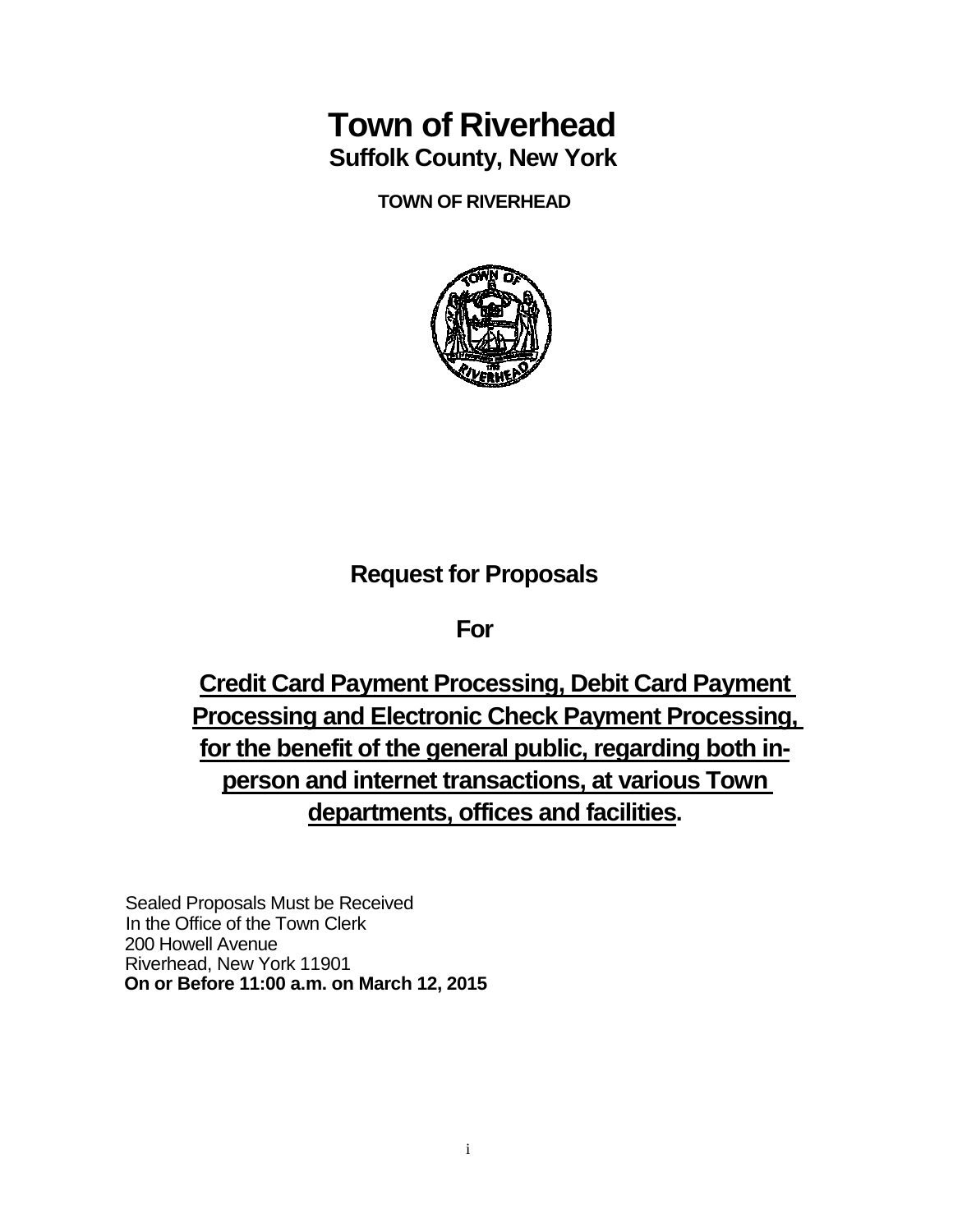# **Town of Riverhead Suffolk County, New York**

**TOWN OF RIVERHEAD**



## **Request for Proposals**

**For**

**Credit Card Payment Processing, Debit Card Payment Processing and Electronic Check Payment Processing, for the benefit of the general public, regarding both inperson and internet transactions, at various Town departments, offices and facilities.**

Sealed Proposals Must be Received In the Office of the Town Clerk 200 Howell Avenue Riverhead, New York 11901 **On or Before 11:00 a.m. on March 12, 2015**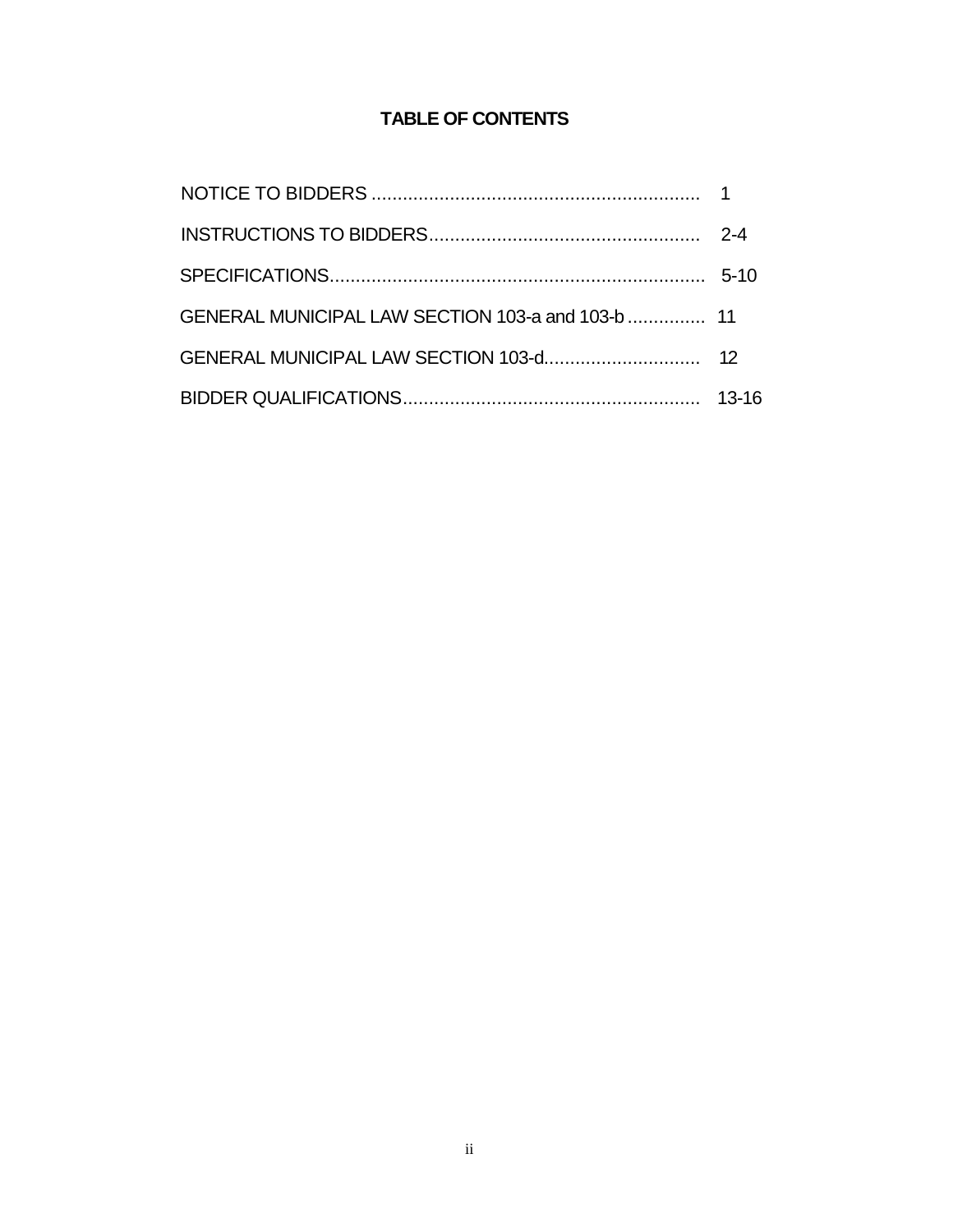## **TABLE OF CONTENTS**

| GENERAL MUNICIPAL LAW SECTION 103-a and 103-b  11 |  |
|---------------------------------------------------|--|
|                                                   |  |
|                                                   |  |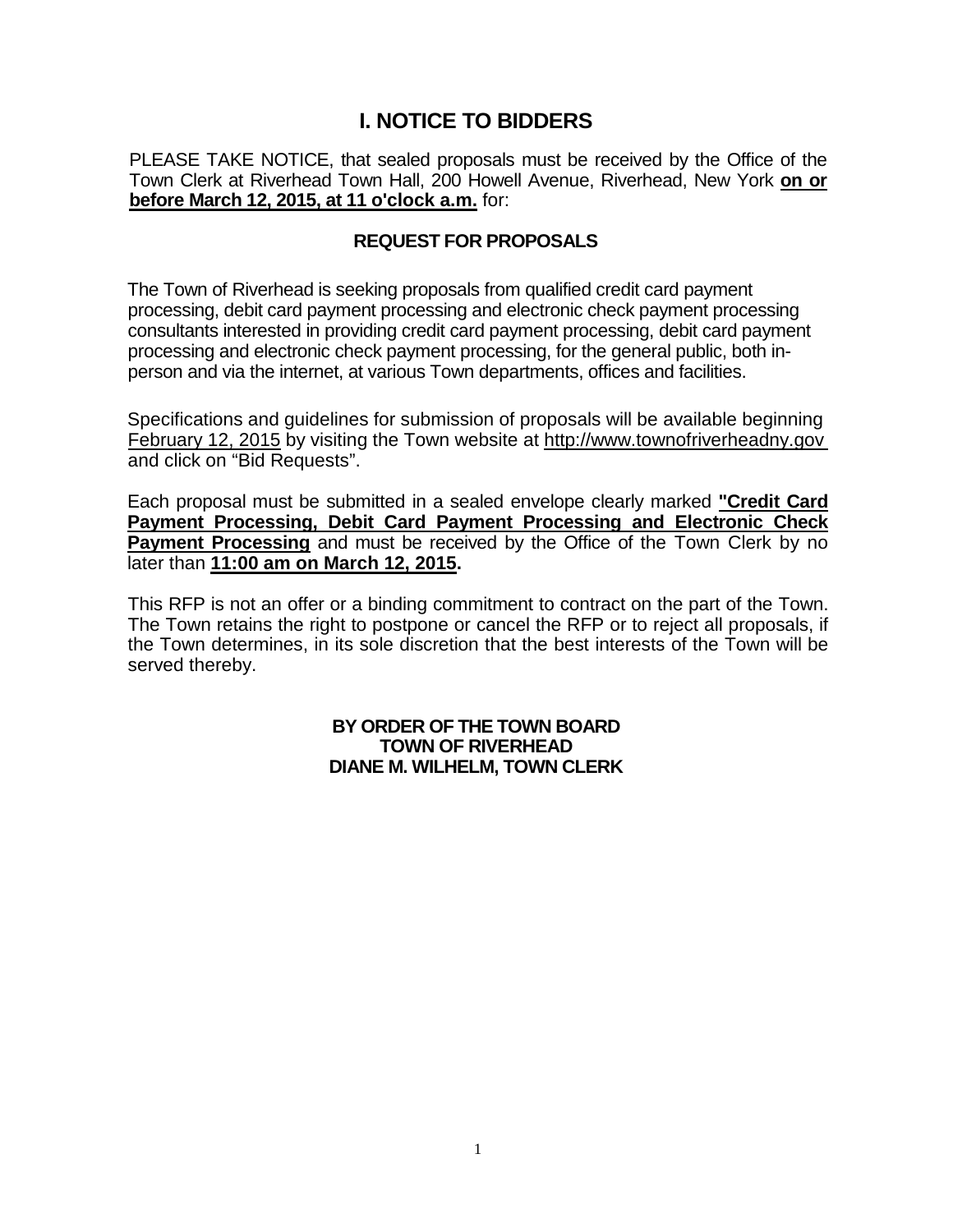## **I. NOTICE TO BIDDERS**

PLEASE TAKE NOTICE, that sealed proposals must be received by the Office of the Town Clerk at Riverhead Town Hall, 200 Howell Avenue, Riverhead, New York **on or before March 12, 2015, at 11 o'clock a.m.** for:

## **REQUEST FOR PROPOSALS**

The Town of Riverhead is seeking proposals from qualified credit card payment processing, debit card payment processing and electronic check payment processing consultants interested in providing credit card payment processing, debit card payment processing and electronic check payment processing, for the general public, both inperson and via the internet, at various Town departments, offices and facilities.

Specifications and guidelines for submission of proposals will be available beginning February 12, 2015 by visiting the Town website at http://www.townofriverheadny.gov and click on "Bid Requests".

Each proposal must be submitted in a sealed envelope clearly marked **"Credit Card Payment Processing, Debit Card Payment Processing and Electronic Check Payment Processing** and must be received by the Office of the Town Clerk by no later than **11:00 am on March 12, 2015.**

This RFP is not an offer or a binding commitment to contract on the part of the Town. The Town retains the right to postpone or cancel the RFP or to reject all proposals, if the Town determines, in its sole discretion that the best interests of the Town will be served thereby.

#### **BY ORDER OF THE TOWN BOARD TOWN OF RIVERHEAD DIANE M. WILHELM, TOWN CLERK**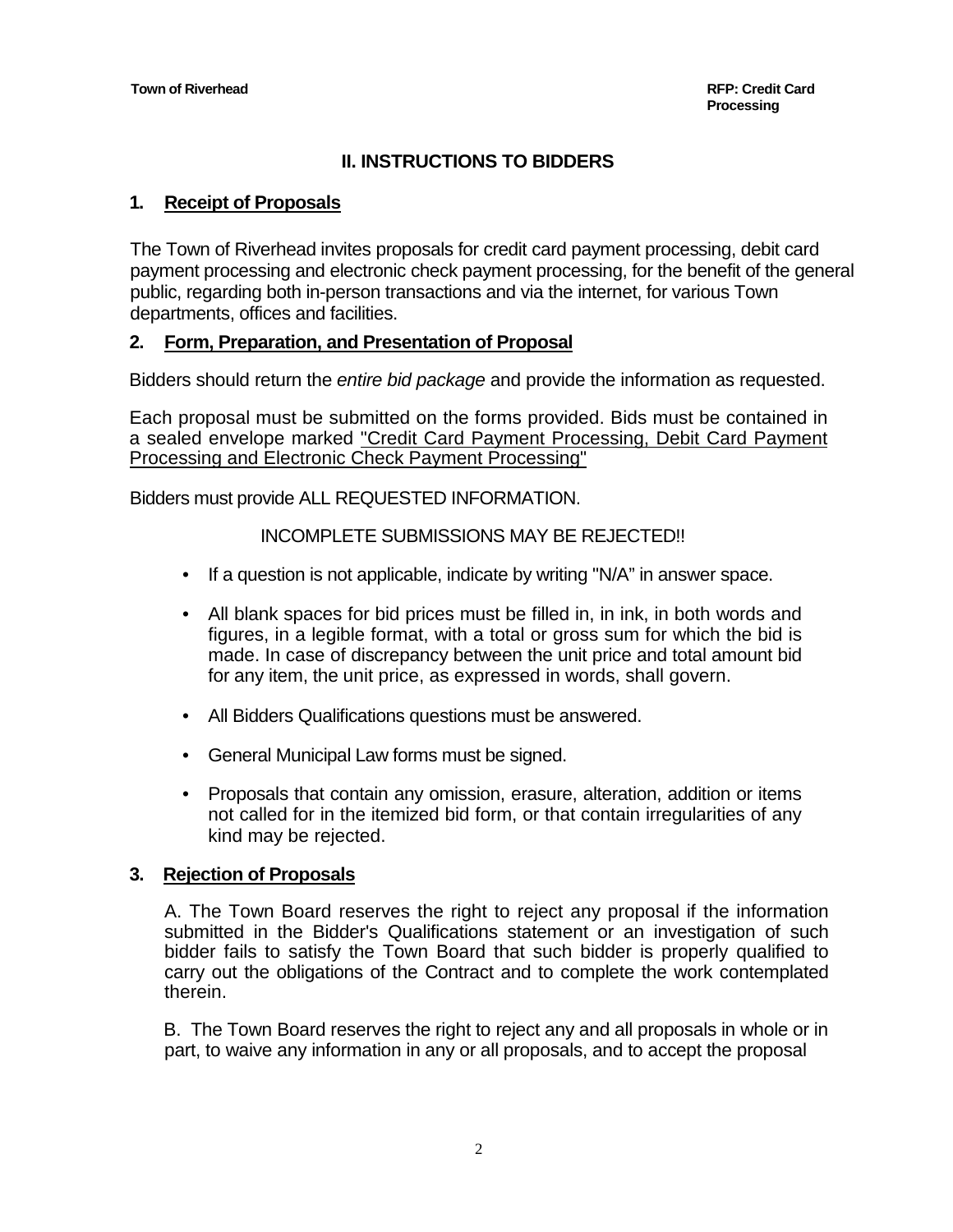## **II. INSTRUCTIONS TO BIDDERS**

#### **1. Receipt of Proposals**

The Town of Riverhead invites proposals for credit card payment processing, debit card payment processing and electronic check payment processing, for the benefit of the general public, regarding both in-person transactions and via the internet, for various Town departments, offices and facilities.

#### **2. Form, Preparation, and Presentation of Proposal**

Bidders should return the *entire bid package* and provide the information as requested.

Each proposal must be submitted on the forms provided. Bids must be contained in a sealed envelope marked "Credit Card Payment Processing, Debit Card Payment Processing and Electronic Check Payment Processing"

Bidders must provide ALL REQUESTED INFORMATION.

#### INCOMPLETE SUBMISSIONS MAY BE REJECTED!!

- If a question is not applicable, indicate by writing "N/A" in answer space.
- All blank spaces for bid prices must be filled in, in ink, in both words and figures, in a legible format, with a total or gross sum for which the bid is made. In case of discrepancy between the unit price and total amount bid for any item, the unit price, as expressed in words, shall govern.
- All Bidders Qualifications questions must be answered.
- General Municipal Law forms must be signed.
- Proposals that contain any omission, erasure, alteration, addition or items not called for in the itemized bid form, or that contain irregularities of any kind may be rejected.

#### **3. Rejection of Proposals**

A. The Town Board reserves the right to reject any proposal if the information submitted in the Bidder's Qualifications statement or an investigation of such bidder fails to satisfy the Town Board that such bidder is properly qualified to carry out the obligations of the Contract and to complete the work contemplated therein.

B. The Town Board reserves the right to reject any and all proposals in whole or in part, to waive any information in any or all proposals, and to accept the proposal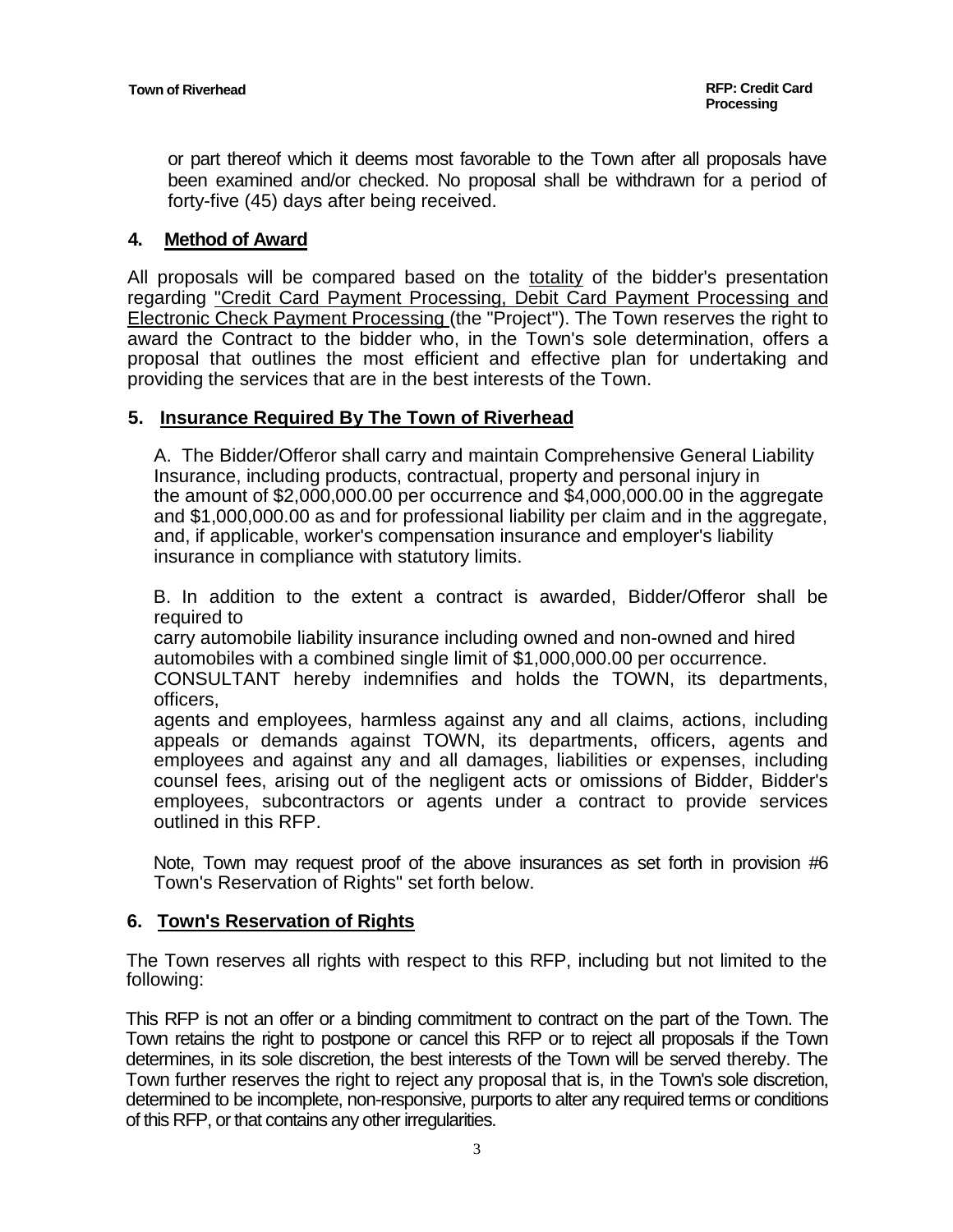or part thereof which it deems most favorable to the Town after all proposals have been examined and/or checked. No proposal shall be withdrawn for a period of forty-five (45) days after being received.

#### **4. Method of Award**

All proposals will be compared based on the totality of the bidder's presentation regarding "Credit Card Payment Processing, Debit Card Payment Processing and Electronic Check Payment Processing (the "Project"). The Town reserves the right to award the Contract to the bidder who, in the Town's sole determination, offers a proposal that outlines the most efficient and effective plan for undertaking and providing the services that are in the best interests of the Town.

#### **5. Insurance Required By The Town of Riverhead**

A. The Bidder/Offeror shall carry and maintain Comprehensive General Liability Insurance, including products, contractual, property and personal injury in the amount of \$2,000,000.00 per occurrence and \$4,000,000.00 in the aggregate and \$1,000,000.00 as and for professional liability per claim and in the aggregate, and, if applicable, worker's compensation insurance and employer's liability insurance in compliance with statutory limits.

B. In addition to the extent a contract is awarded, Bidder/Offeror shall be required to

carry automobile liability insurance including owned and non-owned and hired automobiles with a combined single limit of \$1,000,000.00 per occurrence.

CONSULTANT hereby indemnifies and holds the TOWN, its departments, officers,

agents and employees, harmless against any and all claims, actions, including appeals or demands against TOWN, its departments, officers, agents and employees and against any and all damages, liabilities or expenses, including counsel fees, arising out of the negligent acts or omissions of Bidder, Bidder's employees, subcontractors or agents under a contract to provide services outlined in this RFP.

Note, Town may request proof of the above insurances as set forth in provision #6 Town's Reservation of Rights" set forth below.

#### **6. Town's Reservation of Rights**

The Town reserves all rights with respect to this RFP, including but not limited to the following:

This RFP is not an offer or a binding commitment to contract on the part of the Town. The Town retains the right to postpone or cancel this RFP or to reject all proposals if the Town determines, in its sole discretion, the best interests of the Town will be served thereby. The Town further reserves the right to reject any proposal that is, in the Town's sole discretion, determined to be incomplete, non-responsive, purports to alter any required terms or conditions of this RFP, or that contains any other irregularities.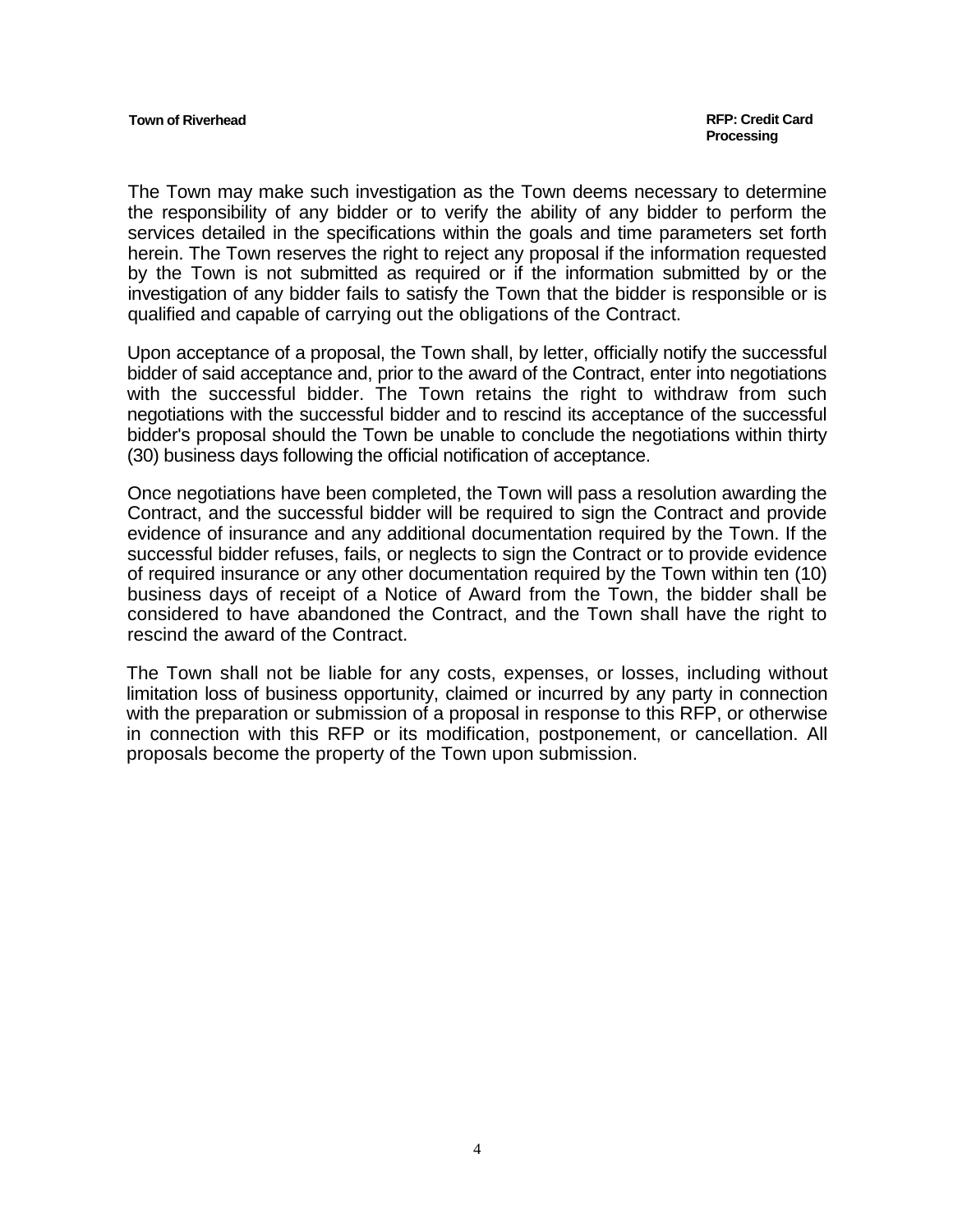The Town may make such investigation as the Town deems necessary to determine the responsibility of any bidder or to verify the ability of any bidder to perform the services detailed in the specifications within the goals and time parameters set forth herein. The Town reserves the right to reject any proposal if the information requested by the Town is not submitted as required or if the information submitted by or the investigation of any bidder fails to satisfy the Town that the bidder is responsible or is qualified and capable of carrying out the obligations of the Contract.

Upon acceptance of a proposal, the Town shall, by letter, officially notify the successful bidder of said acceptance and, prior to the award of the Contract, enter into negotiations with the successful bidder. The Town retains the right to withdraw from such negotiations with the successful bidder and to rescind its acceptance of the successful bidder's proposal should the Town be unable to conclude the negotiations within thirty (30) business days following the official notification of acceptance.

Once negotiations have been completed, the Town will pass a resolution awarding the Contract, and the successful bidder will be required to sign the Contract and provide evidence of insurance and any additional documentation required by the Town. If the successful bidder refuses, fails, or neglects to sign the Contract or to provide evidence of required insurance or any other documentation required by the Town within ten (10) business days of receipt of a Notice of Award from the Town, the bidder shall be considered to have abandoned the Contract, and the Town shall have the right to rescind the award of the Contract.

The Town shall not be liable for any costs, expenses, or losses, including without limitation loss of business opportunity, claimed or incurred by any party in connection with the preparation or submission of a proposal in response to this RFP, or otherwise in connection with this RFP or its modification, postponement, or cancellation. All proposals become the property of the Town upon submission.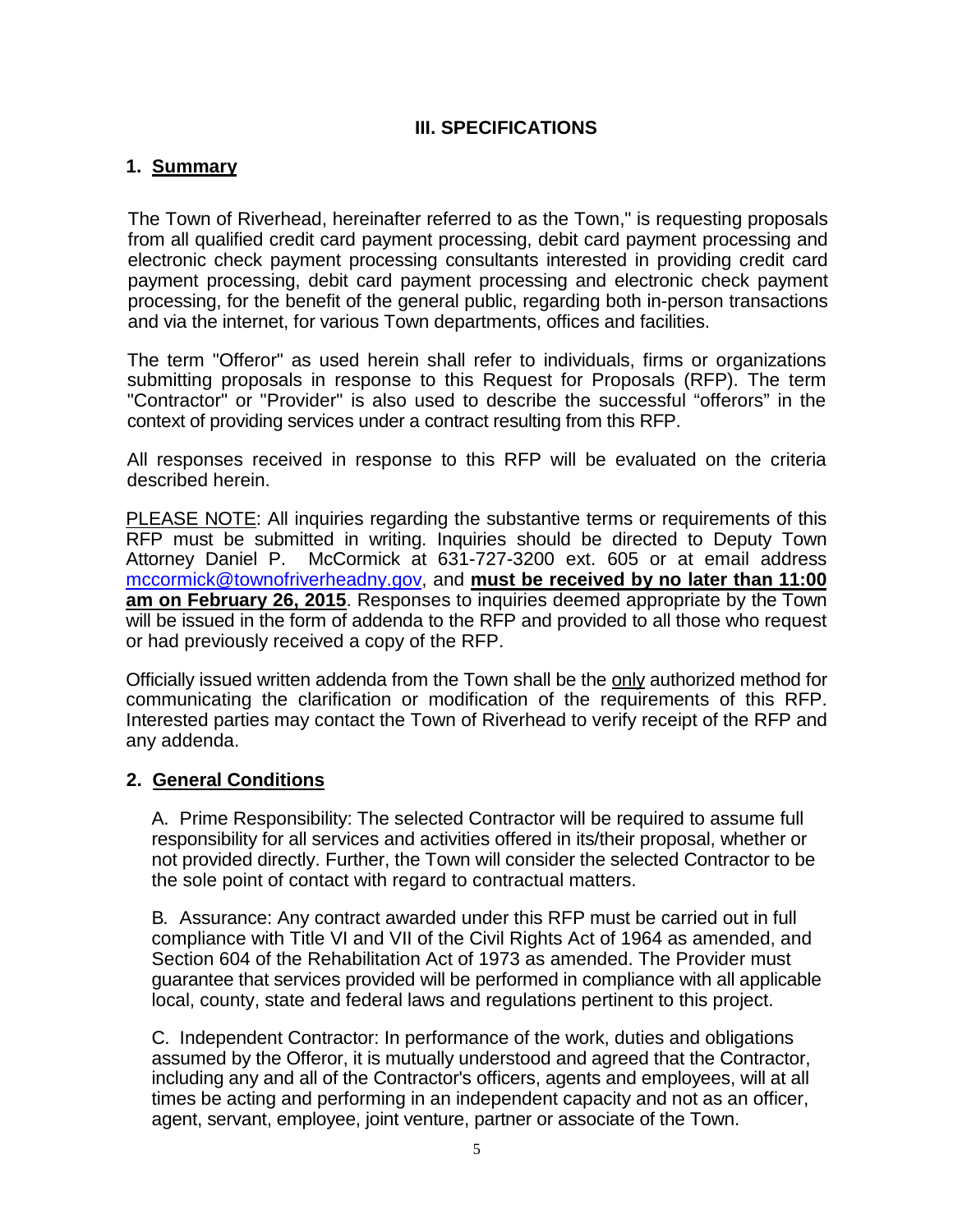## **III. SPECIFICATIONS**

## **1. Summary**

The Town of Riverhead, hereinafter referred to as the Town," is requesting proposals from all qualified credit card payment processing, debit card payment processing and electronic check payment processing consultants interested in providing credit card payment processing, debit card payment processing and electronic check payment processing, for the benefit of the general public, regarding both in-person transactions and via the internet, for various Town departments, offices and facilities.

The term "Offeror" as used herein shall refer to individuals, firms or organizations submitting proposals in response to this Request for Proposals (RFP). The term "Contractor" or "Provider" is also used to describe the successful "offerors" in the context of providing services under a contract resulting from this RFP.

All responses received in response to this RFP will be evaluated on the criteria described herein.

PLEASE NOTE: All inquiries regarding the substantive terms or requirements of this RFP must be submitted in writing. Inquiries should be directed to Deputy Town Attorney Daniel P. McCormick at 631-727-3200 ext. 605 or at email address [mccormick@townofriverheadny.gov,](mailto:mccormick@townofriverheadny.gov) and **must be received by no later than 11:00 am on February 26, 2015**. Responses to inquiries deemed appropriate by the Town will be issued in the form of addenda to the RFP and provided to all those who request or had previously received a copy of the RFP.

Officially issued written addenda from the Town shall be the only authorized method for communicating the clarification or modification of the requirements of this RFP. Interested parties may contact the Town of Riverhead to verify receipt of the RFP and any addenda.

## **2. General Conditions**

A. Prime Responsibility: The selected Contractor will be required to assume full responsibility for all services and activities offered in its/their proposal, whether or not provided directly. Further, the Town will consider the selected Contractor to be the sole point of contact with regard to contractual matters.

B. Assurance: Any contract awarded under this RFP must be carried out in full compliance with Title VI and VII of the Civil Rights Act of 1964 as amended, and Section 604 of the Rehabilitation Act of 1973 as amended. The Provider must guarantee that services provided will be performed in compliance with all applicable local, county, state and federal laws and regulations pertinent to this project.

C. Independent Contractor: In performance of the work, duties and obligations assumed by the Offeror, it is mutually understood and agreed that the Contractor, including any and all of the Contractor's officers, agents and employees, will at all times be acting and performing in an independent capacity and not as an officer, agent, servant, employee, joint venture, partner or associate of the Town.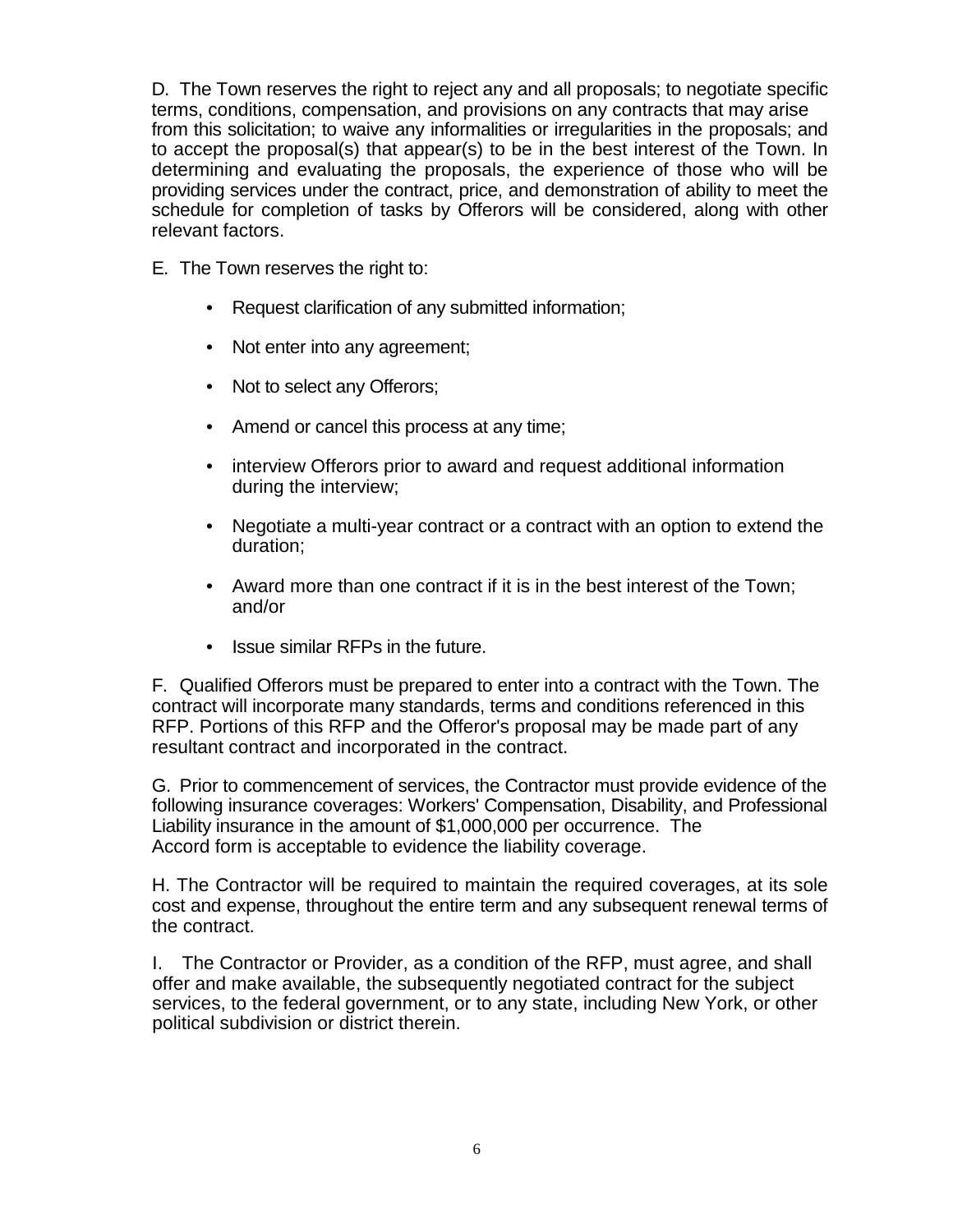D. The Town reserves the right to reject any and all proposals; to negotiate specific terms, conditions, compensation, and provisions on any contracts that may arise from this solicitation; to waive any informalities or irregularities in the proposals; and to accept the proposal(s) that appear(s) to be in the best interest of the Town. In determining and evaluating the proposals, the experience of those who will be providing services under the contract, price, and demonstration of ability to meet the schedule for completion of tasks by Offerors will be considered, along with other relevant factors.

- E. The Town reserves the right to:
	- Request clarification of any submitted information;
	- Not enter into any agreement;
	- Not to select any Offerors;
	- Amend or cancel this process at any time;
	- interview Offerors prior to award and request additional information during the interview;
	- Negotiate a multi-year contract or a contract with an option to extend the duration;
	- Award more than one contract if it is in the best interest of the Town; and/or
	- Issue similar RFPs in the future.

F. Qualified Offerors must be prepared to enter into a contract with the Town. The contract will incorporate many standards, terms and conditions referenced in this RFP. Portions of this RFP and the Offeror's proposal may be made part of any resultant contract and incorporated in the contract.

G. Prior to commencement of services, the Contractor must provide evidence of the following insurance coverages: Workers' Compensation, Disability, and Professional Liability insurance in the amount of \$1,000,000 per occurrence. The Accord form is acceptable to evidence the liability coverage.

H. The Contractor will be required to maintain the required coverages, at its sole cost and expense, throughout the entire term and any subsequent renewal terms of the contract.

I. The Contractor or Provider, as a condition of the RFP, must agree, and shall offer and make available, the subsequently negotiated contract for the subject services, to the federal government, or to any state, including New York, or other political subdivision or district therein.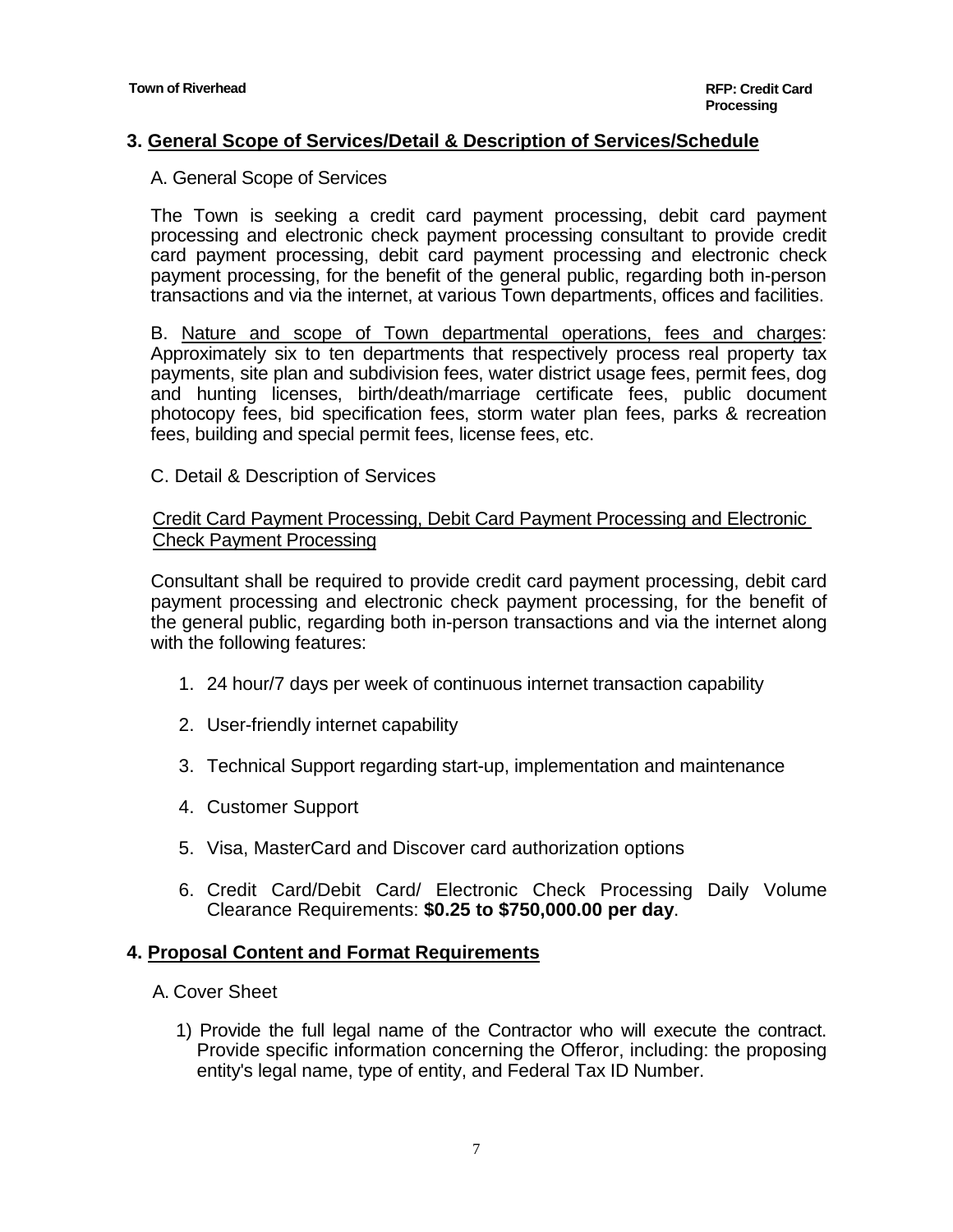## **3. General Scope of Services/Detail & Description of Services/Schedule**

#### A. General Scope of Services

The Town is seeking a credit card payment processing, debit card payment processing and electronic check payment processing consultant to provide credit card payment processing, debit card payment processing and electronic check payment processing, for the benefit of the general public, regarding both in-person transactions and via the internet, at various Town departments, offices and facilities.

B. Nature and scope of Town departmental operations, fees and charges: Approximately six to ten departments that respectively process real property tax payments, site plan and subdivision fees, water district usage fees, permit fees, dog and hunting licenses, birth/death/marriage certificate fees, public document photocopy fees, bid specification fees, storm water plan fees, parks & recreation fees, building and special permit fees, license fees, etc.

#### C. Detail & Description of Services

#### Credit Card Payment Processing, Debit Card Payment Processing and Electronic Check Payment Processing

Consultant shall be required to provide credit card payment processing, debit card payment processing and electronic check payment processing, for the benefit of the general public, regarding both in-person transactions and via the internet along with the following features:

- 1. 24 hour/7 days per week of continuous internet transaction capability
- 2. User-friendly internet capability
- 3. Technical Support regarding start-up, implementation and maintenance
- 4. Customer Support
- 5. Visa, MasterCard and Discover card authorization options
- 6. Credit Card/Debit Card/ Electronic Check Processing Daily Volume Clearance Requirements: **\$0.25 to \$750,000.00 per day**.

#### **4. Proposal Content and Format Requirements**

- A. Cover Sheet
	- 1) Provide the full legal name of the Contractor who will execute the contract. Provide specific information concerning the Offeror, including: the proposing entity's legal name, type of entity, and Federal Tax ID Number.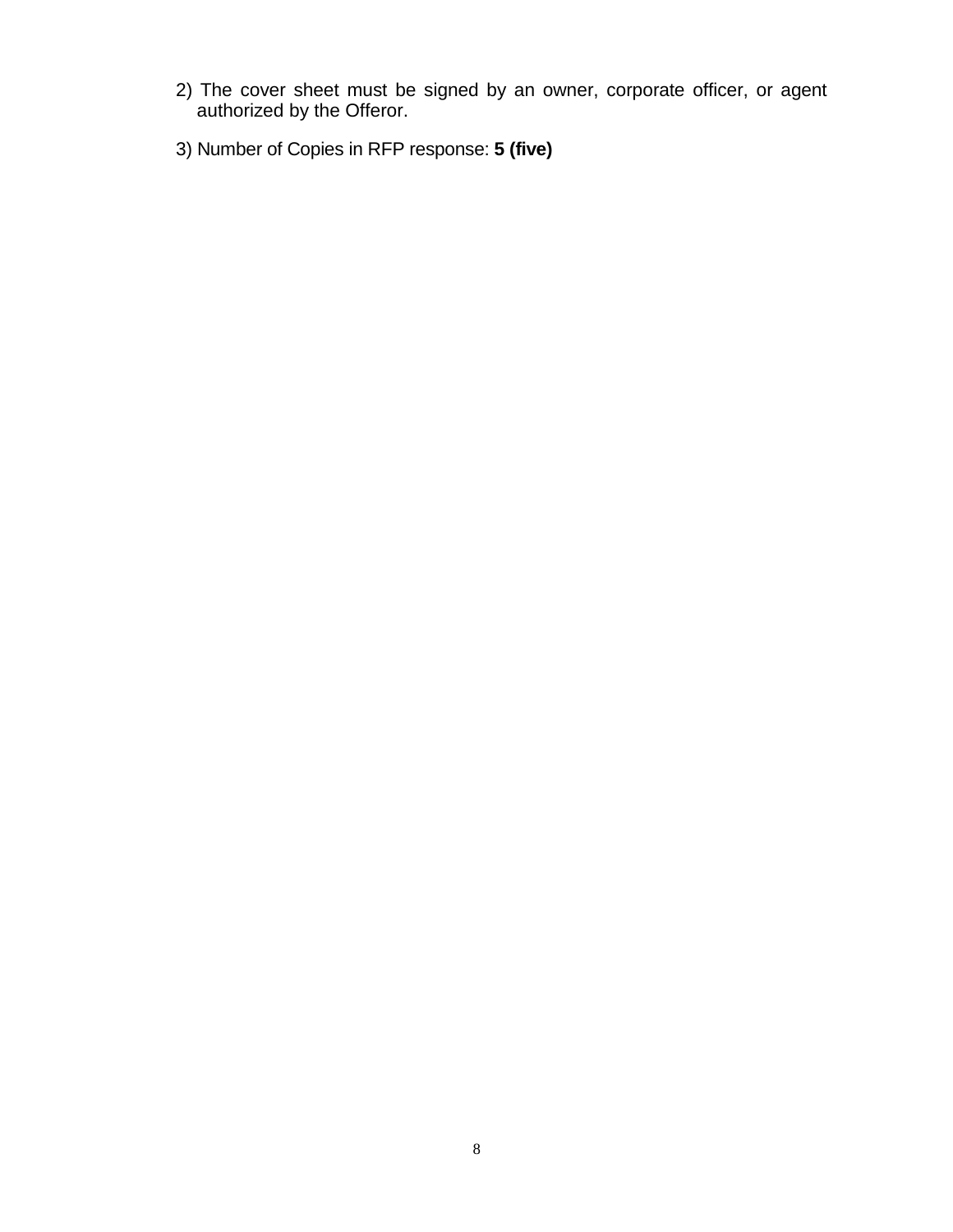- 2) The cover sheet must be signed by an owner, corporate officer, or agent authorized by the Offeror.
- 3) Number of Copies in RFP response: **5 (five)**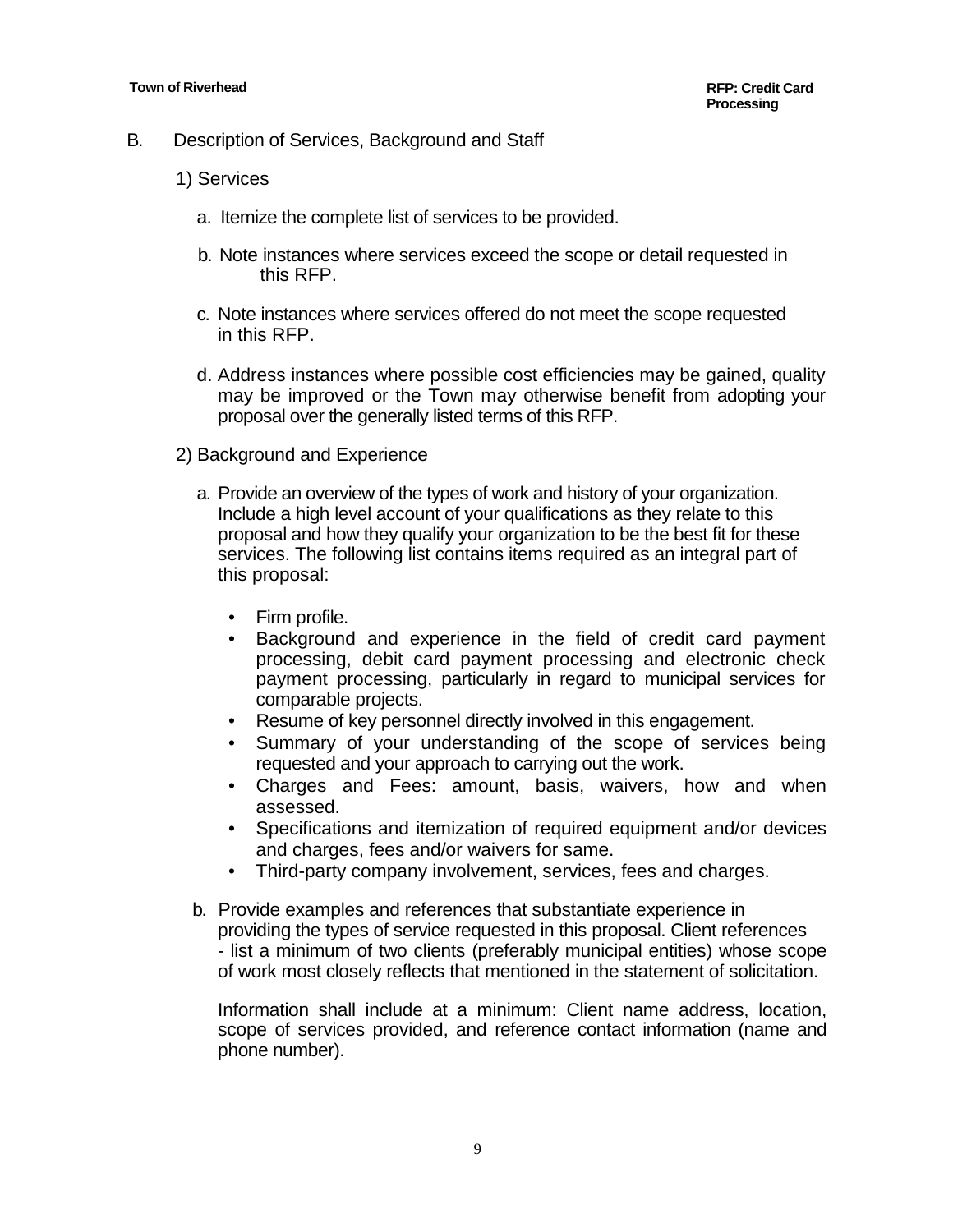- B. Description of Services, Background and Staff
	- 1) Services
		- a. Itemize the complete list of services to be provided.
		- b. Note instances where services exceed the scope or detail requested in this RFP.
		- c. Note instances where services offered do not meet the scope requested in this RFP.
		- d. Address instances where possible cost efficiencies may be gained, quality may be improved or the Town may otherwise benefit from adopting your proposal over the generally listed terms of this RFP.
	- 2) Background and Experience
		- a. Provide an overview of the types of work and history of your organization. Include a high level account of your qualifications as they relate to this proposal and how they qualify your organization to be the best fit for these services. The following list contains items required as an integral part of this proposal:
			- Firm profile.
			- Background and experience in the field of credit card payment processing, debit card payment processing and electronic check payment processing, particularly in regard to municipal services for comparable projects.
			- Resume of key personnel directly involved in this engagement.
			- Summary of your understanding of the scope of services being requested and your approach to carrying out the work.
			- Charges and Fees: amount, basis, waivers, how and when assessed.
			- Specifications and itemization of required equipment and/or devices and charges, fees and/or waivers for same.
			- Third-party company involvement, services, fees and charges.
		- b. Provide examples and references that substantiate experience in providing the types of service requested in this proposal. Client references - list a minimum of two clients (preferably municipal entities) whose scope of work most closely reflects that mentioned in the statement of solicitation.

Information shall include at a minimum: Client name address, location, scope of services provided, and reference contact information (name and phone number).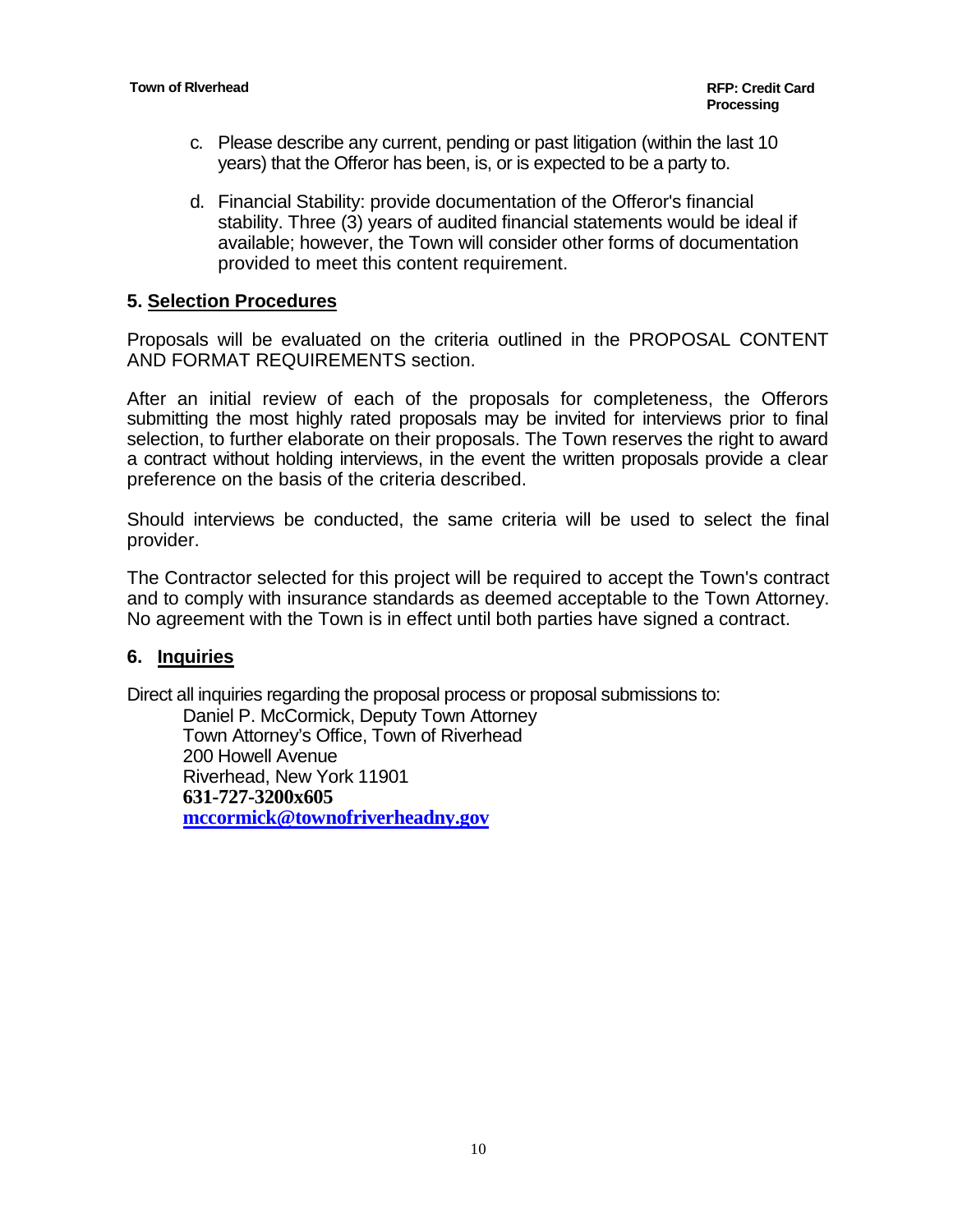- c. Please describe any current, pending or past litigation (within the last 10 years) that the Offeror has been, is, or is expected to be a party to.
- d. Financial Stability: provide documentation of the Offeror's financial stability. Three (3) years of audited financial statements would be ideal if available; however, the Town will consider other forms of documentation provided to meet this content requirement.

#### **5. Selection Procedures**

Proposals will be evaluated on the criteria outlined in the PROPOSAL CONTENT AND FORMAT REQUIREMENTS section.

After an initial review of each of the proposals for completeness, the Offerors submitting the most highly rated proposals may be invited for interviews prior to final selection, to further elaborate on their proposals. The Town reserves the right to award a contract without holding interviews, in the event the written proposals provide a clear preference on the basis of the criteria described.

Should interviews be conducted, the same criteria will be used to select the final provider.

The Contractor selected for this project will be required to accept the Town's contract and to comply with insurance standards as deemed acceptable to the Town Attorney. No agreement with the Town is in effect until both parties have signed a contract.

#### **6. Inquiries**

Direct all inquiries regarding the proposal process or proposal submissions to:

Daniel P. McCormick, Deputy Town Attorney Town Attorney's Office, Town of Riverhead 200 Howell Avenue Riverhead, New York 11901 **631-727-3200x605 [mccormick@townofriverheadny.gov](mailto:mccormick@townofriverheadny.gov)**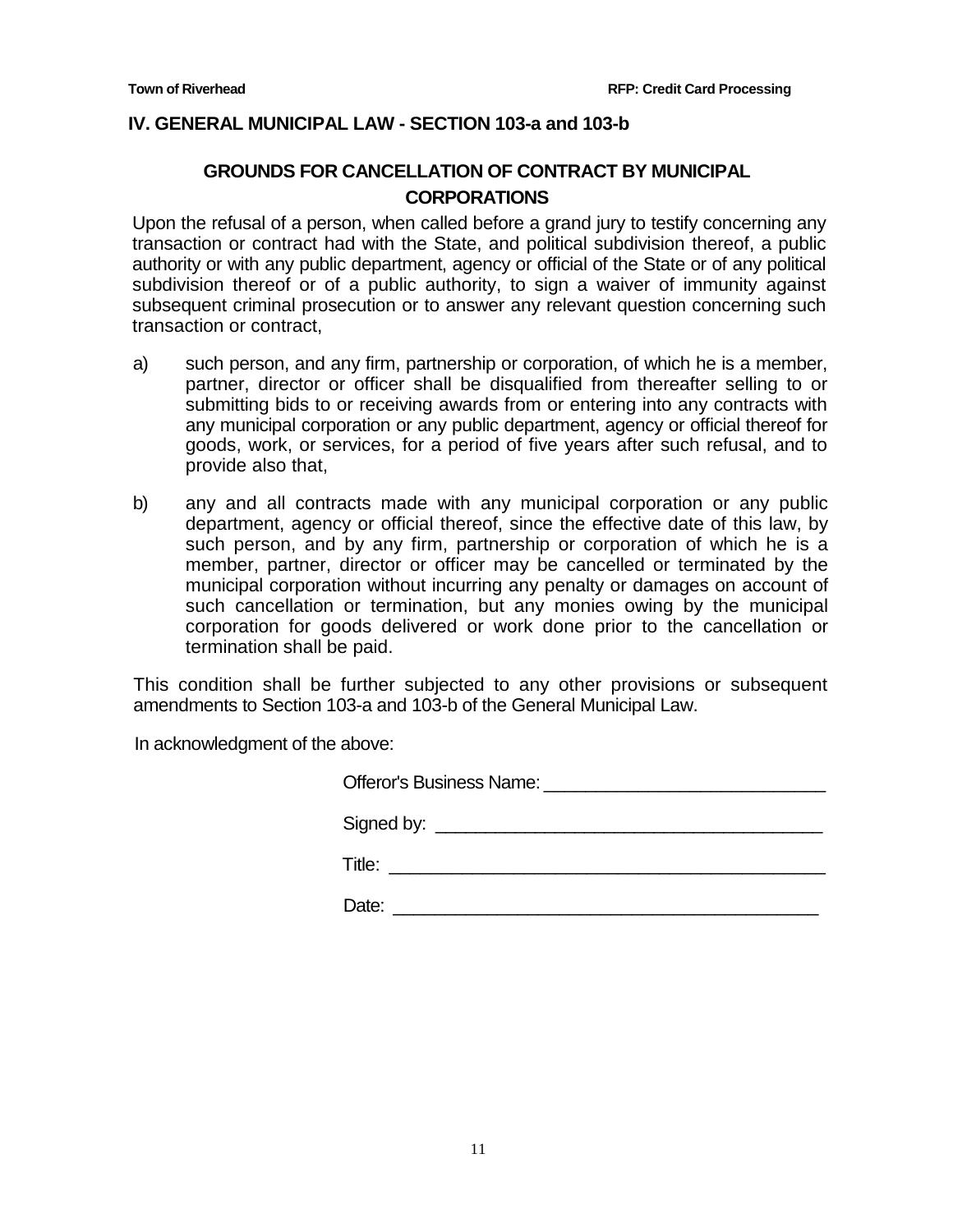#### **IV. GENERAL MUNICIPAL LAW - SECTION 103-a and 103-b**

## **GROUNDS FOR CANCELLATION OF CONTRACT BY MUNICIPAL CORPORATIONS**

Upon the refusal of a person, when called before a grand jury to testify concerning any transaction or contract had with the State, and political subdivision thereof, a public authority or with any public department, agency or official of the State or of any political subdivision thereof or of a public authority, to sign a waiver of immunity against subsequent criminal prosecution or to answer any relevant question concerning such transaction or contract,

- a) such person, and any firm, partnership or corporation, of which he is a member, partner, director or officer shall be disqualified from thereafter selling to or submitting bids to or receiving awards from or entering into any contracts with any municipal corporation or any public department, agency or official thereof for goods, work, or services, for a period of five years after such refusal, and to provide also that,
- b) any and all contracts made with any municipal corporation or any public department, agency or official thereof, since the effective date of this law, by such person, and by any firm, partnership or corporation of which he is a member, partner, director or officer may be cancelled or terminated by the municipal corporation without incurring any penalty or damages on account of such cancellation or termination, but any monies owing by the municipal corporation for goods delivered or work done prior to the cancellation or termination shall be paid.

This condition shall be further subjected to any other provisions or subsequent amendments to Section 103-a and 103-b of the General Municipal Law.

In acknowledgment of the above:

| Signed by: <u>_____________________________</u> |
|-------------------------------------------------|
|                                                 |
| Date:                                           |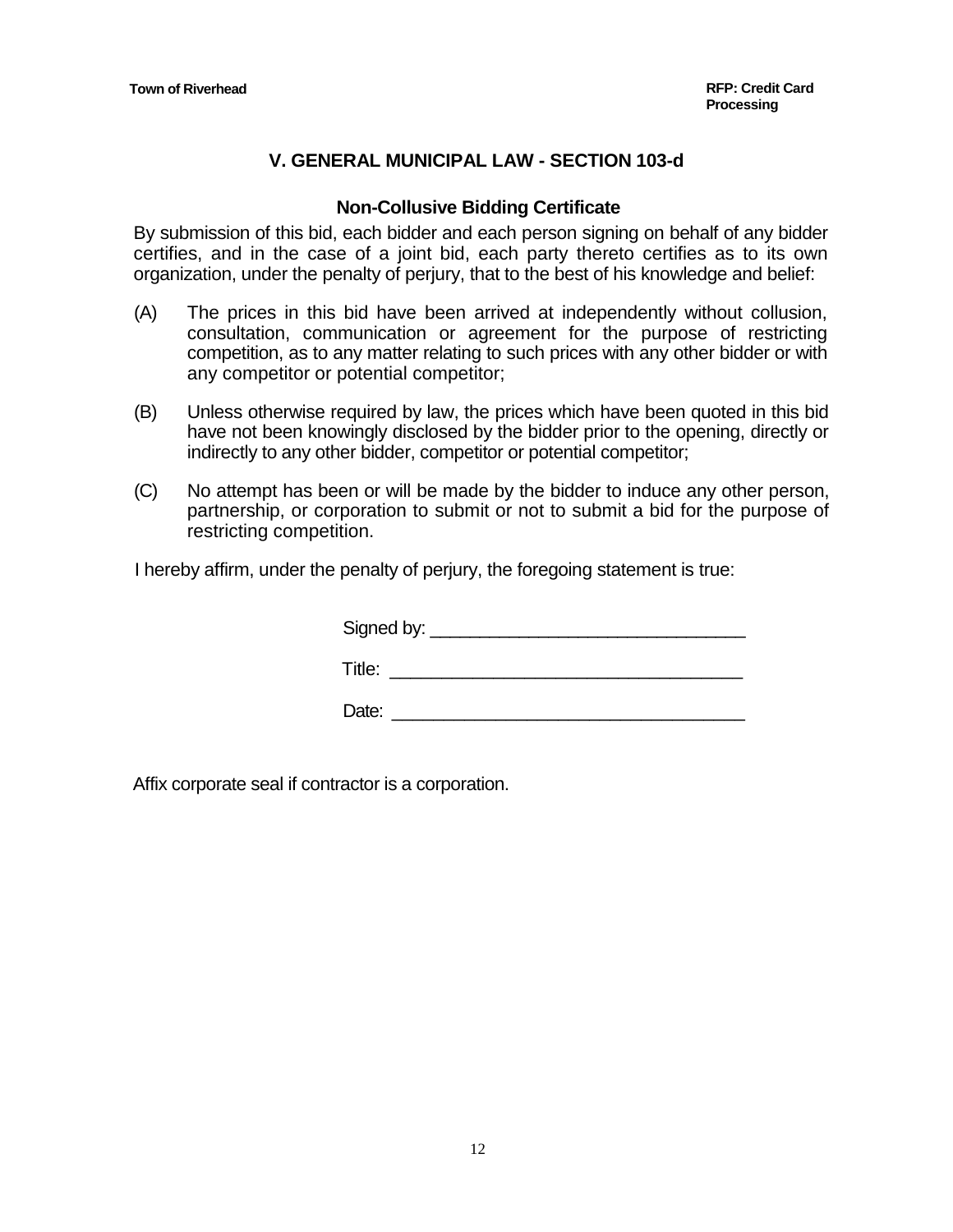## **V. GENERAL MUNICIPAL LAW - SECTION 103-d**

#### **Non-Collusive Bidding Certificate**

By submission of this bid, each bidder and each person signing on behalf of any bidder certifies, and in the case of a joint bid, each party thereto certifies as to its own organization, under the penalty of perjury, that to the best of his knowledge and belief:

- (A) The prices in this bid have been arrived at independently without collusion, consultation, communication or agreement for the purpose of restricting competition, as to any matter relating to such prices with any other bidder or with any competitor or potential competitor;
- (B) Unless otherwise required by law, the prices which have been quoted in this bid have not been knowingly disclosed by the bidder prior to the opening, directly or indirectly to any other bidder, competitor or potential competitor;
- (C) No attempt has been or will be made by the bidder to induce any other person, partnership, or corporation to submit or not to submit a bid for the purpose of restricting competition.

I hereby affirm, under the penalty of perjury, the foregoing statement is true:

| Signed by: $\_$ |  |  |  |
|-----------------|--|--|--|
| Title:          |  |  |  |

Date: \_\_\_\_\_\_\_\_\_\_\_\_\_\_\_\_\_\_\_\_\_\_\_\_\_\_\_\_\_\_\_\_\_\_

Affix corporate seal if contractor is a corporation.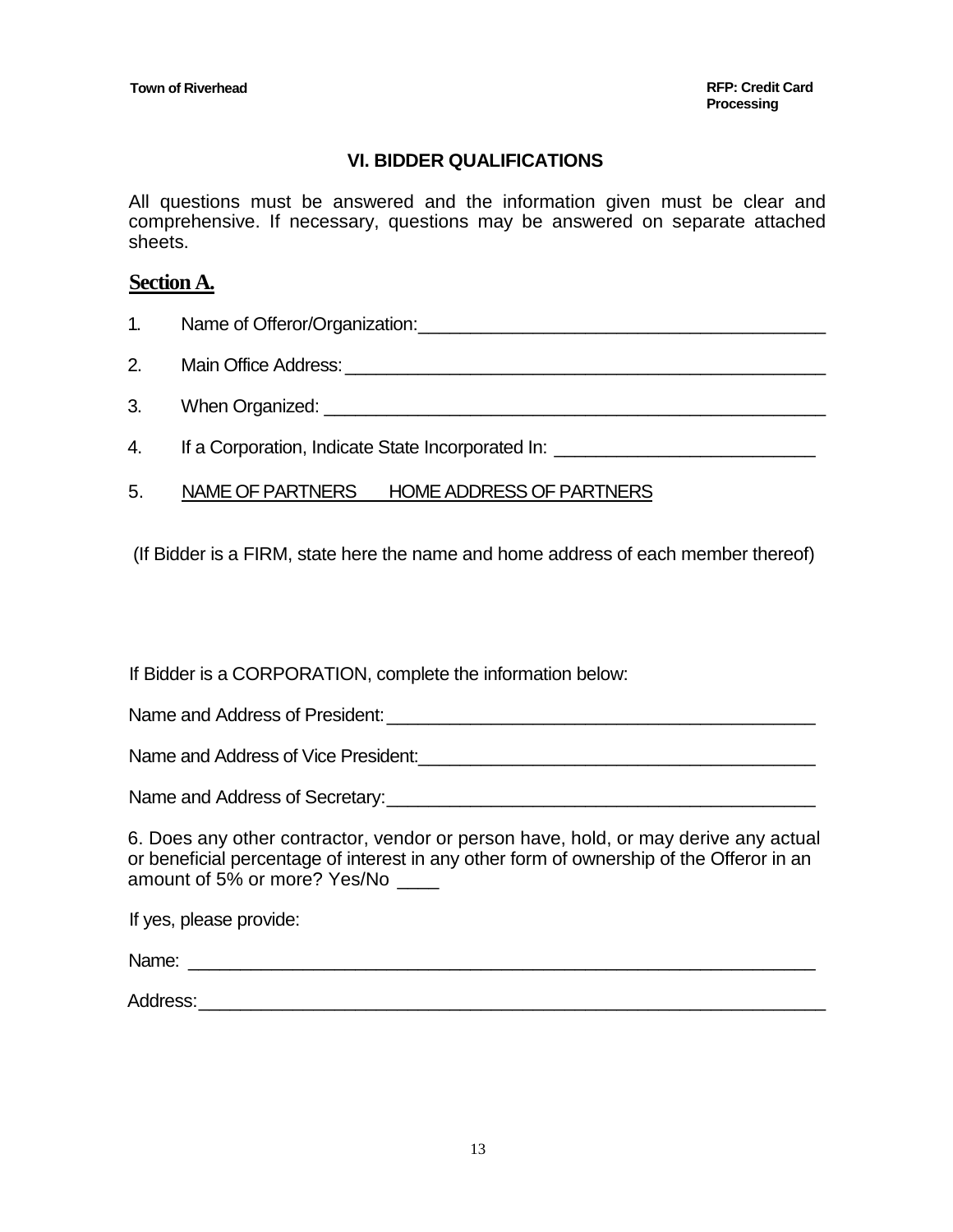## **VI. BIDDER QUALIFICATIONS**

All questions must be answered and the information given must be clear and comprehensive. If necessary, questions may be answered on separate attached sheets.

## **Section A.**

- 1. Name of Offeror/Organization:\_\_\_\_\_\_\_\_\_\_\_\_\_\_\_\_\_\_\_\_\_\_\_\_\_\_\_\_\_\_\_\_\_\_\_\_\_\_\_
- 2. Main Office Address:\_\_\_\_\_\_\_\_\_\_\_\_\_\_\_\_\_\_\_\_\_\_\_\_\_\_\_\_\_\_\_\_\_\_\_\_\_\_\_\_\_\_\_\_\_\_
- 3. When Organized:  $\blacksquare$
- 4. If a Corporation, Indicate State Incorporated In:
- 5. NAME OF PARTNERS HOME ADDRESS OF PARTNERS

(If Bidder is a FIRM, state here the name and home address of each member thereof)

If Bidder is a CORPORATION, complete the information below:

Name and Address of President:\_\_\_\_\_\_\_\_\_\_\_\_\_\_\_\_\_\_\_\_\_\_\_\_\_\_\_\_\_\_\_\_\_\_\_\_\_\_\_\_\_

Name and Address of Vice President:\_\_\_\_\_\_\_\_\_\_\_\_\_\_\_\_\_\_\_\_\_\_\_\_\_\_\_\_\_\_\_\_\_\_\_\_\_\_

Name and Address of Secretary: <u>example and</u>  $\lambda$ 

6. Does any other contractor, vendor or person have, hold, or may derive any actual or beneficial percentage of interest in any other form of ownership of the Offeror in an amount of 5% or more? Yes/No \_\_\_\_

If yes, please provide:

Name: \_\_\_\_\_\_\_\_\_\_\_\_\_\_\_\_\_\_\_\_\_\_\_\_\_\_\_\_\_\_\_\_\_\_\_\_\_\_\_\_\_\_\_\_\_\_\_\_\_\_\_\_\_\_\_\_\_\_\_\_

Address: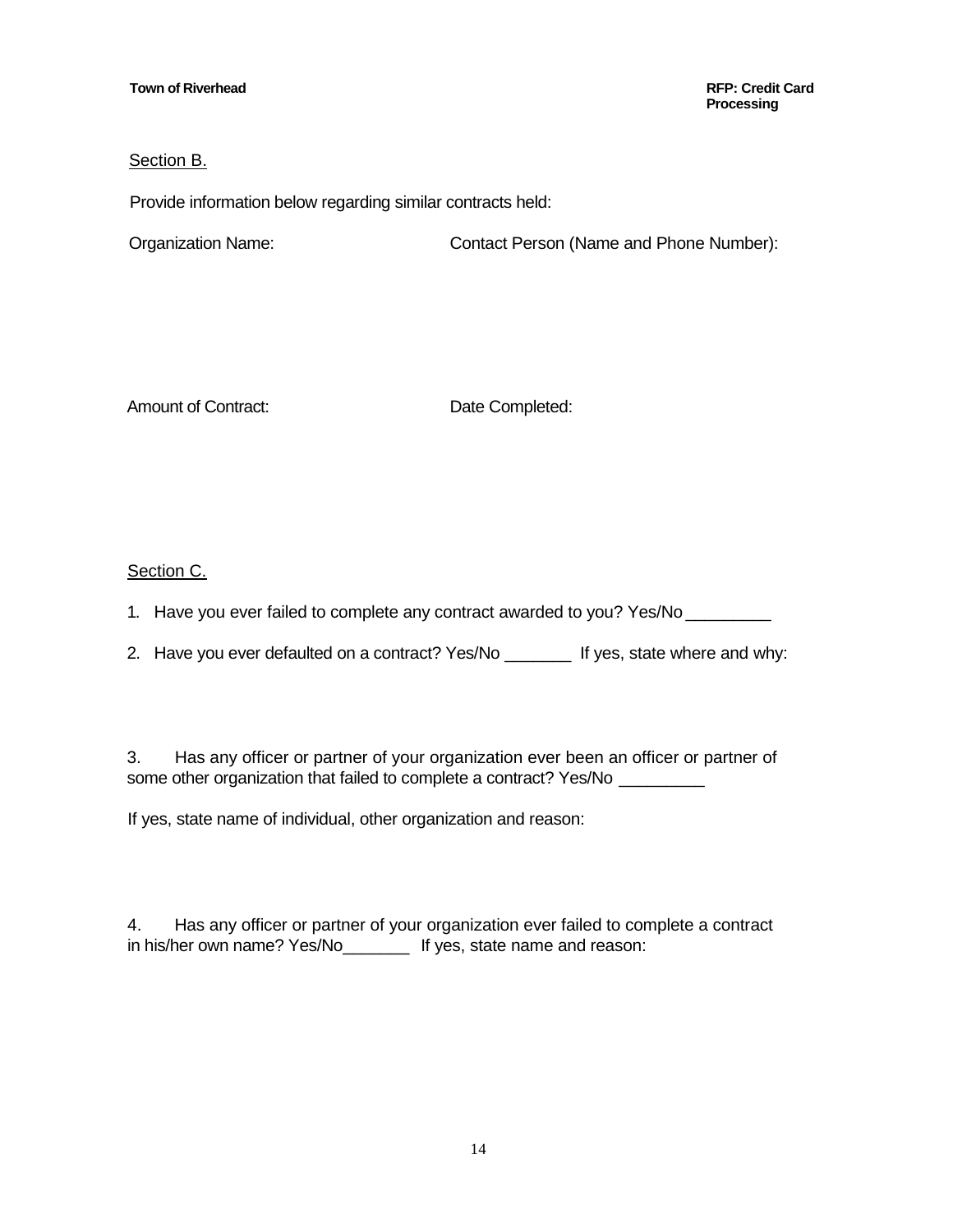**Processing**

#### Section B.

Provide information below regarding similar contracts held:

Organization Name: Contact Person (Name and Phone Number):

Amount of Contract: Date Completed:

#### Section C.

1. Have you ever failed to complete any contract awarded to you? Yes/No

2. Have you ever defaulted on a contract? Yes/No \_\_\_\_\_\_\_ If yes, state where and why:

3. Has any officer or partner of your organization ever been an officer or partner of some other organization that failed to complete a contract? Yes/No \_\_\_\_\_\_\_\_\_\_\_

If yes, state name of individual, other organization and reason:

4. Has any officer or partner of your organization ever failed to complete a contract in his/her own name? Yes/No\_\_\_\_\_\_\_ If yes, state name and reason: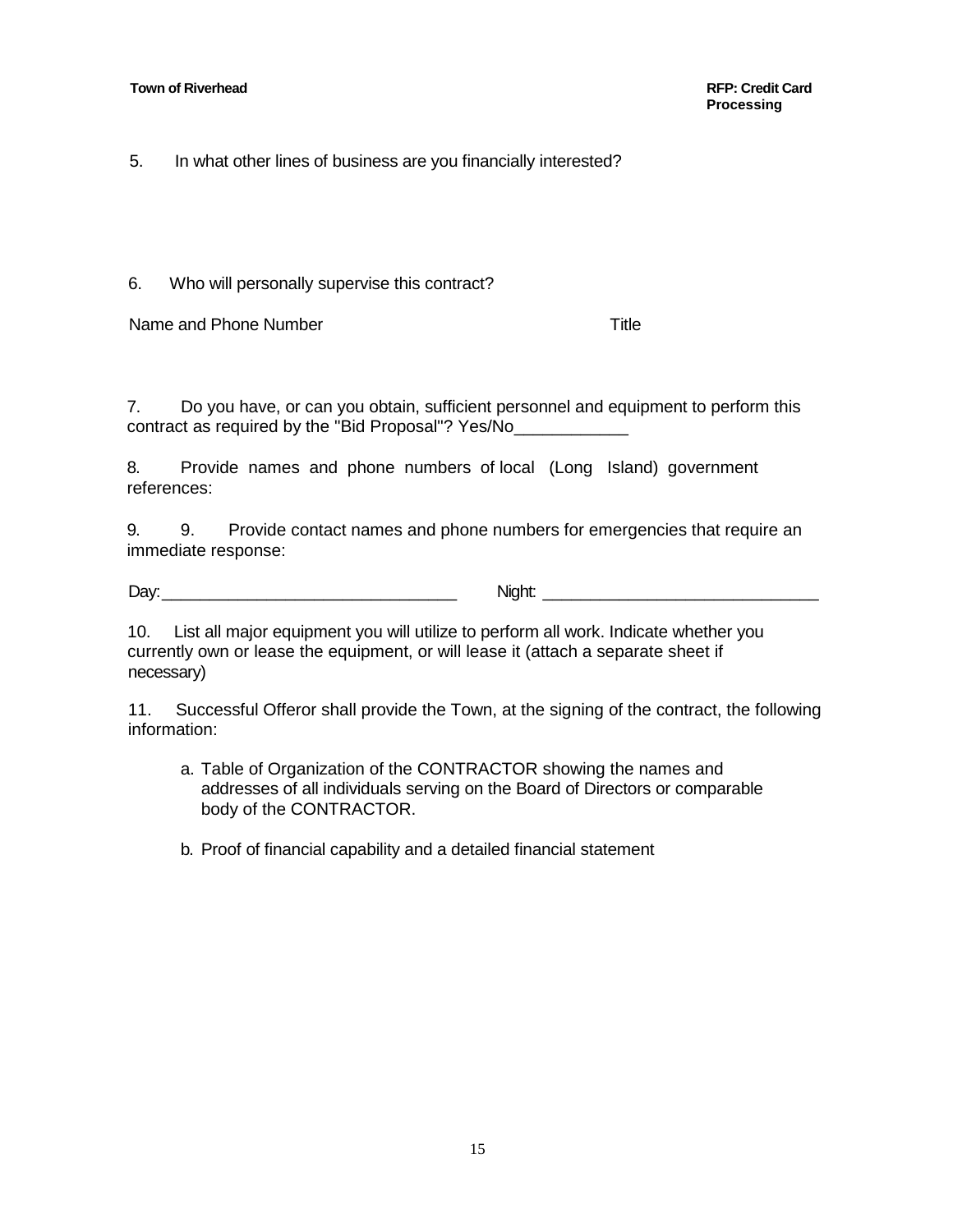5. In what other lines of business are you financially interested?

6. Who will personally supervise this contract?

Name and Phone Number Title

7. Do you have, or can you obtain, sufficient personnel and equipment to perform this contract as required by the "Bid Proposal"? Yes/No\_\_\_\_\_\_\_\_\_\_\_\_

8. Provide names and phone numbers of local (Long Island) government references:

9. 9. Provide contact names and phone numbers for emergencies that require an immediate response:

Day: The contract of the contract of the contract of the contract of the contract of the contract of the contract of the contract of the contract of the contract of the contract of the contract of the contract of the contr

10. List all major equipment you will utilize to perform all work. Indicate whether you currently own or lease the equipment, or will lease it (attach a separate sheet if necessary)

11. Successful Offeror shall provide the Town, at the signing of the contract, the following information:

a. Table of Organization of the CONTRACTOR showing the names and addresses of all individuals serving on the Board of Directors or comparable body of the CONTRACTOR.

b. Proof of financial capability and a detailed financial statement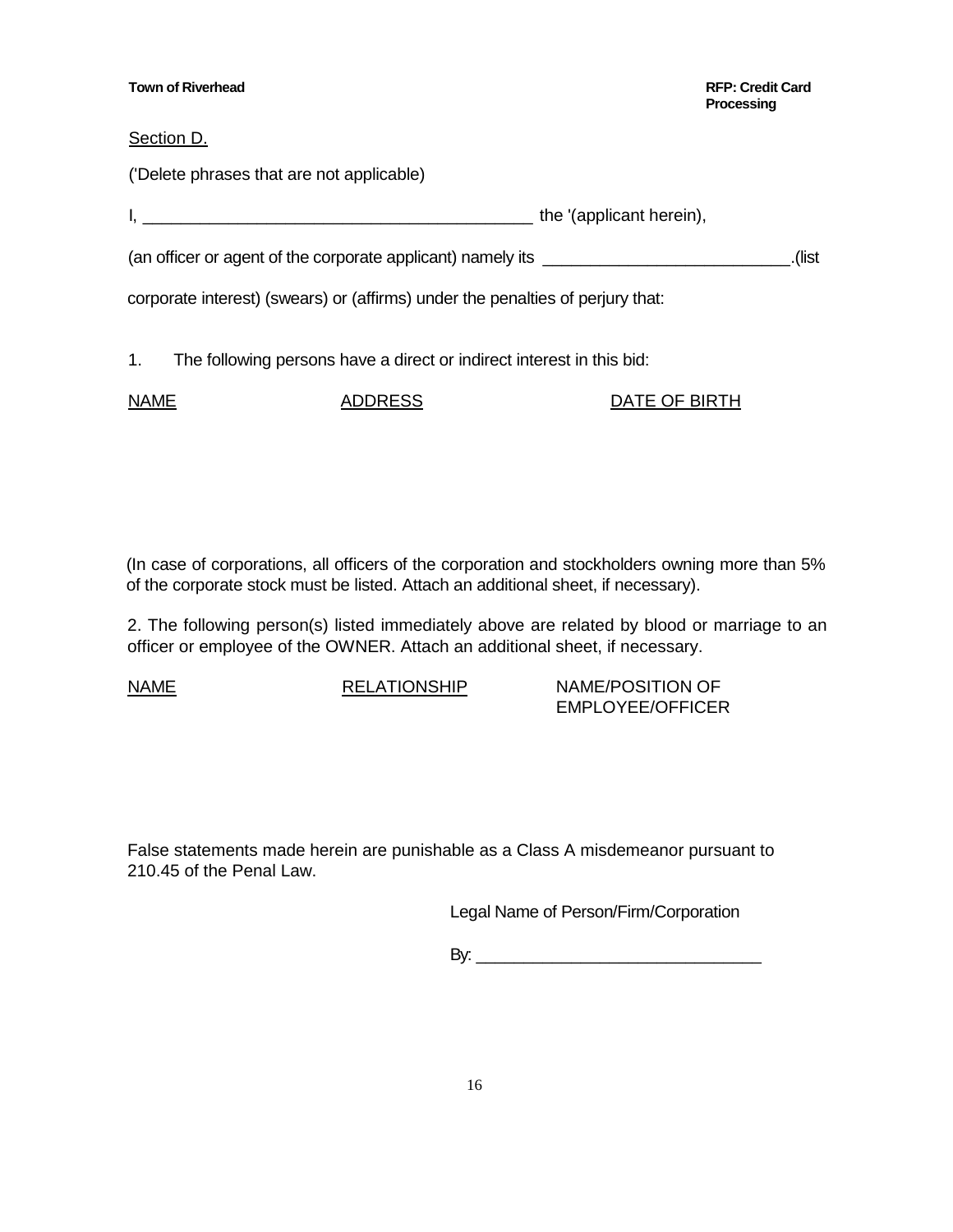| <b>Town of Riverhead</b>                                                         | <b>RFP: Credit Card</b><br><b>Processing</b> |
|----------------------------------------------------------------------------------|----------------------------------------------|
| Section D.                                                                       |                                              |
| ('Delete phrases that are not applicable)                                        |                                              |
| the '(applicant herein),                                                         |                                              |
| (an officer or agent of the corporate applicant) namely its ____________________ | list).                                       |
| corporate interest) (swears) or (affirms) under the penalties of perjury that:   |                                              |
| 1.<br>The following persons have a direct or indirect interest in this bid:      |                                              |

| <b>NAME</b> | <b>ADDRESS</b> | DATE OF BIRTH |
|-------------|----------------|---------------|
|             |                |               |

(In case of corporations, all officers of the corporation and stockholders owning more than 5% of the corporate stock must be listed. Attach an additional sheet, if necessary).

2. The following person(s) listed immediately above are related by blood or marriage to an officer or employee of the OWNER. Attach an additional sheet, if necessary.

NAME RELATIONSHIP NAME/POSITION OF EMPLOYEE/OFFICER

False statements made herein are punishable as a Class A misdemeanor pursuant to 210.45 of the Penal Law.

Legal Name of Person/Firm/Corporation

By: \_\_\_\_\_\_\_\_\_\_\_\_\_\_\_\_\_\_\_\_\_\_\_\_\_\_\_\_\_\_